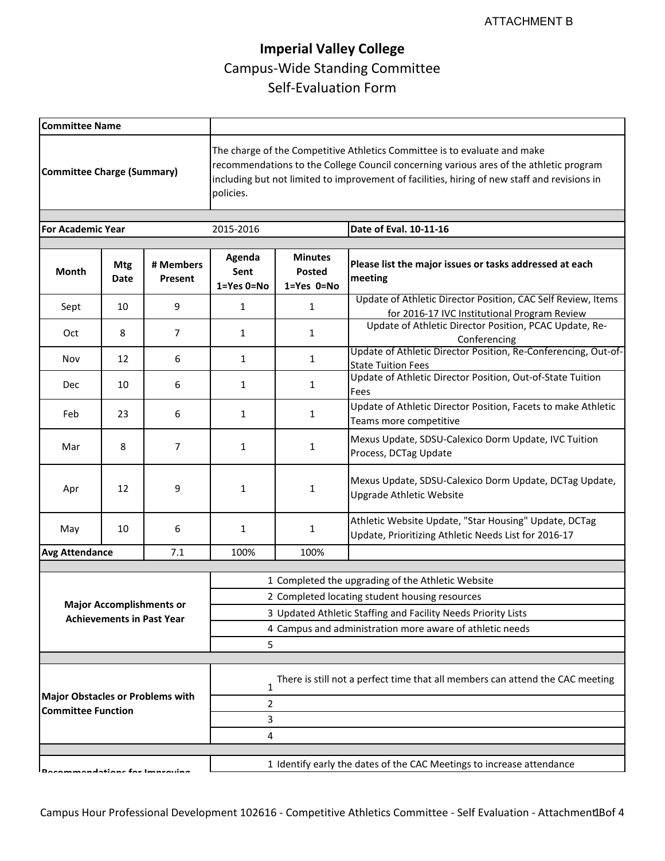| <b>Committee Name</b>                   |                                                                     |                        |                                                                                                                                                                                                                                                                                  |                                               |                                                                                                               |  |
|-----------------------------------------|---------------------------------------------------------------------|------------------------|----------------------------------------------------------------------------------------------------------------------------------------------------------------------------------------------------------------------------------------------------------------------------------|-----------------------------------------------|---------------------------------------------------------------------------------------------------------------|--|
| <b>Committee Charge (Summary)</b>       |                                                                     |                        | The charge of the Competitive Athletics Committee is to evaluate and make<br>recommendations to the College Council concerning various ares of the athletic program<br>including but not limited to improvement of facilities, hiring of new staff and revisions in<br>policies. |                                               |                                                                                                               |  |
| <b>For Academic Year</b>                |                                                                     |                        | 2015-2016                                                                                                                                                                                                                                                                        |                                               | Date of Eval. 10-11-16                                                                                        |  |
| <b>Month</b>                            | <b>Mtg</b><br>Date                                                  | # Members<br>Present   | Agenda<br>Sent<br>1=Yes 0=No                                                                                                                                                                                                                                                     | <b>Minutes</b><br><b>Posted</b><br>1=Yes 0=No | Please list the major issues or tasks addressed at each<br>meeting                                            |  |
| Sept                                    | 10                                                                  | 9                      | $\mathbf{1}$                                                                                                                                                                                                                                                                     | $\mathbf{1}$                                  | Update of Athletic Director Position, CAC Self Review, Items<br>for 2016-17 IVC Institutional Program Review  |  |
| Oct                                     | 8                                                                   | 7                      | 1                                                                                                                                                                                                                                                                                | $\mathbf{1}$                                  | Update of Athletic Director Position, PCAC Update, Re-<br>Conferencing                                        |  |
| Nov                                     | 12                                                                  | 6                      | $\mathbf{1}$                                                                                                                                                                                                                                                                     | $\mathbf{1}$                                  | Update of Athletic Director Position, Re-Conferencing, Out-of-<br><b>State Tuition Fees</b>                   |  |
| Dec                                     | 10                                                                  | 6                      | $\mathbf{1}$                                                                                                                                                                                                                                                                     | $\mathbf{1}$                                  | Update of Athletic Director Position, Out-of-State Tuition<br>Fees                                            |  |
| Feb                                     | 23                                                                  | 6                      | 1                                                                                                                                                                                                                                                                                | 1                                             | Update of Athletic Director Position, Facets to make Athletic<br>Teams more competitive                       |  |
| Mar                                     | 8                                                                   | 7                      | $\mathbf{1}$                                                                                                                                                                                                                                                                     | 1                                             | Mexus Update, SDSU-Calexico Dorm Update, IVC Tuition<br>Process, DCTag Update                                 |  |
| Apr                                     | 12                                                                  | 9                      | $\mathbf{1}$                                                                                                                                                                                                                                                                     | 1                                             | Mexus Update, SDSU-Calexico Dorm Update, DCTag Update,<br><b>Upgrade Athletic Website</b>                     |  |
| May                                     | 10                                                                  | 6                      | $\mathbf{1}$                                                                                                                                                                                                                                                                     | 1                                             | Athletic Website Update, "Star Housing" Update, DCTag<br>Update, Prioritizing Athletic Needs List for 2016-17 |  |
| <b>Avg Attendance</b>                   |                                                                     | 7.1                    | 100%                                                                                                                                                                                                                                                                             | 100%                                          |                                                                                                               |  |
|                                         |                                                                     |                        |                                                                                                                                                                                                                                                                                  |                                               | 1 Completed the upgrading of the Athletic Website                                                             |  |
|                                         |                                                                     |                        | 2 Completed locating student housing resources                                                                                                                                                                                                                                   |                                               |                                                                                                               |  |
|                                         | <b>Major Accomplishments or</b><br><b>Achievements in Past Year</b> |                        | 3 Updated Athletic Staffing and Facility Needs Priority Lists                                                                                                                                                                                                                    |                                               |                                                                                                               |  |
|                                         |                                                                     |                        | 4 Campus and administration more aware of athletic needs                                                                                                                                                                                                                         |                                               |                                                                                                               |  |
|                                         |                                                                     |                        | 5                                                                                                                                                                                                                                                                                |                                               |                                                                                                               |  |
|                                         |                                                                     |                        |                                                                                                                                                                                                                                                                                  |                                               |                                                                                                               |  |
| <b>Major Obstacles or Problems with</b> |                                                                     |                        | There is still not a perfect time that all members can attend the CAC meeting<br>1                                                                                                                                                                                               |                                               |                                                                                                               |  |
| <b>Committee Function</b>               |                                                                     |                        | 2                                                                                                                                                                                                                                                                                |                                               |                                                                                                               |  |
|                                         |                                                                     |                        | 3                                                                                                                                                                                                                                                                                |                                               |                                                                                                               |  |
|                                         |                                                                     |                        | 4                                                                                                                                                                                                                                                                                |                                               |                                                                                                               |  |
|                                         |                                                                     | ndatione for Improving |                                                                                                                                                                                                                                                                                  |                                               | 1 Identify early the dates of the CAC Meetings to increase attendance                                         |  |
|                                         |                                                                     |                        |                                                                                                                                                                                                                                                                                  |                                               |                                                                                                               |  |

Campus Hour Professional Development 102616 - Competitive Athletics Committee - Self Evaluation - Attachment Bof 4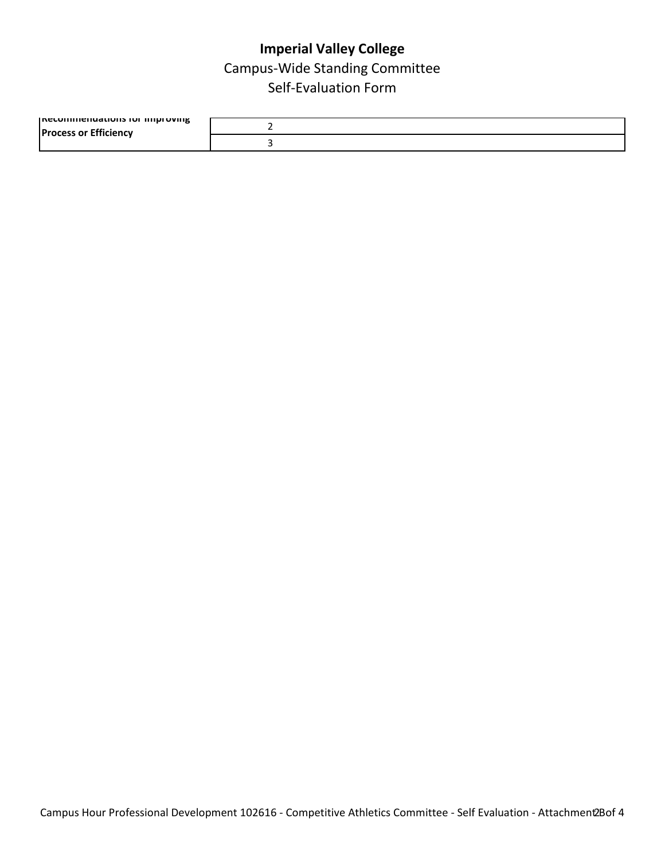| <b>INECOMMENT CONTROLS TO LIMIT IN THE LIMIT STATE</b> |  |
|--------------------------------------------------------|--|
|                                                        |  |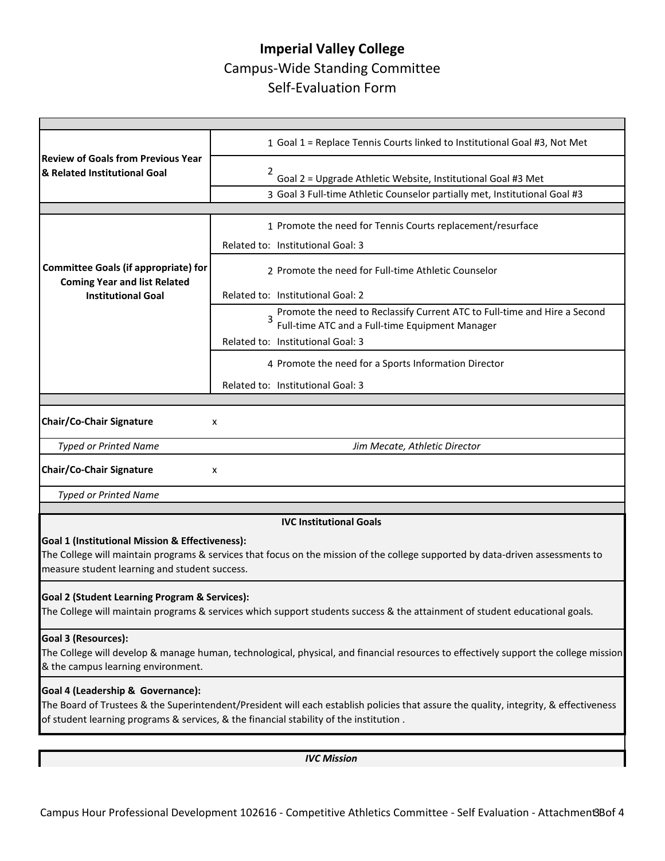|                                                                                                                                                                                                                                 | 1 Goal 1 = Replace Tennis Courts linked to Institutional Goal #3, Not Met                                                      |  |  |  |  |  |
|---------------------------------------------------------------------------------------------------------------------------------------------------------------------------------------------------------------------------------|--------------------------------------------------------------------------------------------------------------------------------|--|--|--|--|--|
| <b>Review of Goals from Previous Year</b><br>& Related Institutional Goal                                                                                                                                                       | 2<br>Goal 2 = Upgrade Athletic Website, Institutional Goal #3 Met                                                              |  |  |  |  |  |
|                                                                                                                                                                                                                                 | 3 Goal 3 Full-time Athletic Counselor partially met, Institutional Goal #3                                                     |  |  |  |  |  |
|                                                                                                                                                                                                                                 |                                                                                                                                |  |  |  |  |  |
|                                                                                                                                                                                                                                 | 1 Promote the need for Tennis Courts replacement/resurface                                                                     |  |  |  |  |  |
|                                                                                                                                                                                                                                 | Related to: Institutional Goal: 3                                                                                              |  |  |  |  |  |
|                                                                                                                                                                                                                                 |                                                                                                                                |  |  |  |  |  |
| <b>Committee Goals (if appropriate) for</b>                                                                                                                                                                                     | 2 Promote the need for Full-time Athletic Counselor                                                                            |  |  |  |  |  |
| <b>Coming Year and list Related</b><br><b>Institutional Goal</b>                                                                                                                                                                | Related to: Institutional Goal: 2                                                                                              |  |  |  |  |  |
|                                                                                                                                                                                                                                 | Promote the need to Reclassify Current ATC to Full-time and Hire a Second                                                      |  |  |  |  |  |
|                                                                                                                                                                                                                                 | Full-time ATC and a Full-time Equipment Manager                                                                                |  |  |  |  |  |
|                                                                                                                                                                                                                                 | Related to: Institutional Goal: 3                                                                                              |  |  |  |  |  |
|                                                                                                                                                                                                                                 | 4 Promote the need for a Sports Information Director                                                                           |  |  |  |  |  |
|                                                                                                                                                                                                                                 | Related to: Institutional Goal: 3                                                                                              |  |  |  |  |  |
|                                                                                                                                                                                                                                 |                                                                                                                                |  |  |  |  |  |
| <b>Chair/Co-Chair Signature</b><br>x                                                                                                                                                                                            |                                                                                                                                |  |  |  |  |  |
| <b>Typed or Printed Name</b>                                                                                                                                                                                                    | Jim Mecate, Athletic Director                                                                                                  |  |  |  |  |  |
| <b>Chair/Co-Chair Signature</b><br>x                                                                                                                                                                                            |                                                                                                                                |  |  |  |  |  |
| <b>Typed or Printed Name</b>                                                                                                                                                                                                    |                                                                                                                                |  |  |  |  |  |
|                                                                                                                                                                                                                                 |                                                                                                                                |  |  |  |  |  |
|                                                                                                                                                                                                                                 | <b>IVC Institutional Goals</b>                                                                                                 |  |  |  |  |  |
| Goal 1 (Institutional Mission & Effectiveness):                                                                                                                                                                                 |                                                                                                                                |  |  |  |  |  |
|                                                                                                                                                                                                                                 | The College will maintain programs & services that focus on the mission of the college supported by data-driven assessments to |  |  |  |  |  |
| measure student learning and student success.                                                                                                                                                                                   |                                                                                                                                |  |  |  |  |  |
| <b>Goal 2 (Student Learning Program &amp; Services):</b>                                                                                                                                                                        |                                                                                                                                |  |  |  |  |  |
| The College will maintain programs & services which support students success & the attainment of student educational goals.                                                                                                     |                                                                                                                                |  |  |  |  |  |
|                                                                                                                                                                                                                                 |                                                                                                                                |  |  |  |  |  |
| Goal 3 (Resources):                                                                                                                                                                                                             |                                                                                                                                |  |  |  |  |  |
| The College will develop & manage human, technological, physical, and financial resources to effectively support the college mission<br>& the campus learning environment.                                                      |                                                                                                                                |  |  |  |  |  |
|                                                                                                                                                                                                                                 |                                                                                                                                |  |  |  |  |  |
| Goal 4 (Leadership & Governance):                                                                                                                                                                                               |                                                                                                                                |  |  |  |  |  |
| The Board of Trustees & the Superintendent/President will each establish policies that assure the quality, integrity, & effectiveness<br>of student learning programs & services, & the financial stability of the institution. |                                                                                                                                |  |  |  |  |  |
|                                                                                                                                                                                                                                 |                                                                                                                                |  |  |  |  |  |
|                                                                                                                                                                                                                                 |                                                                                                                                |  |  |  |  |  |

*IVC Mission*